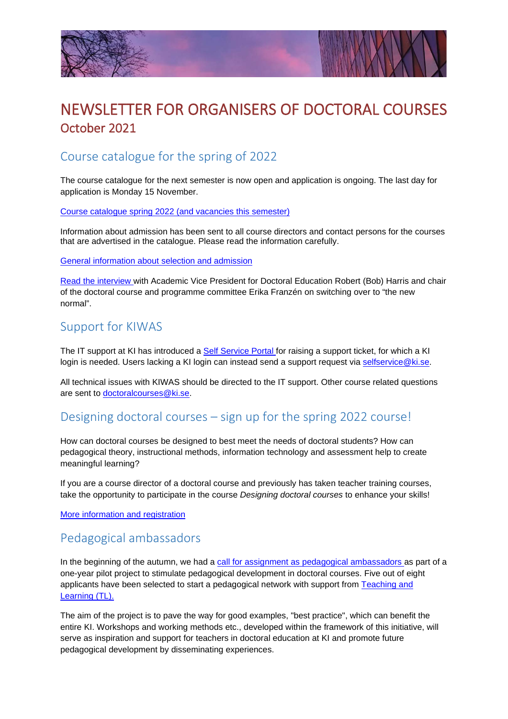



# NEWSLETTER FOR ORGANISERS OF DOCTORAL COURSES October 2021

## Course catalogue for the spring of 2022

The course catalogue for the next semester is now open and application is ongoing. The last day for application is Monday 15 November.

[Course catalogue spring 2022 \(and vacancies this semester\)](https://staff.ki.se/course-catalogue-and-vacancies-doctoral-courses)

Information about admission has been sent to all course directors and contact persons for the courses that are advertised in the catalogue. Please read the information carefully.

[General information about selection and admission](https://staff.ki.se/select-and-admit-to-doctoral-courses)

[Read the interview w](https://news.ki.se/the-new-normal-in-doctoral-education-at-ki-an-interview-with-bob-harris-and-erika-franzen)ith Academic Vice President for Doctoral Education Robert (Bob) Harris and chair of the doctoral course and programme committee Erika Franzén on switching over to "the new normal".

#### Support for KIWAS

The IT support at KI has introduced a **Self Service Portal for raising a support ticket**, for which a KI login is needed. Users lacking a KI login can instead send a support request via [selfservice@ki.se.](mailto:selfservice@ki.se)

All technical issues with KIWAS should be directed to the IT support. Other course related questions are sent to [doctoralcourses@ki.se.](mailto:doctoralcourses@ki.se)

#### Designing doctoral courses – sign up for the spring 2022 course!

How can doctoral courses be designed to best meet the needs of doctoral students? How can pedagogical theory, instructional methods, information technology and assessment help to create meaningful learning?

If you are a course director of a doctoral course and previously has taken teacher training courses, take the opportunity to participate in the course *Designing doctoral courses* to enhance your skills!

[More information and registration](https://staff.ki.se/designing-doctoral-courses)

## Pedagogical ambassadors

In the beginning of the autumn, we had a [call for assignment as pedagogical ambassadors a](https://news.ki.se/call-for-assignment-as-pedagogical-ambassadors-within-doctoral-education-new-deadline-17-september)s part of a one-year pilot project to stimulate pedagogical development in doctoral courses. Five out of eight applicants have been selected to start a pedagogical network with support from [Teaching and](https://staff.ki.se/teaching-and-learning)  [Learning \(TL\).](https://staff.ki.se/teaching-and-learning)

The aim of the project is to pave the way for good examples, "best practice", which can benefit the entire KI. Workshops and working methods etc., developed within the framework of this initiative, will serve as inspiration and support for teachers in doctoral education at KI and promote future pedagogical development by disseminating experiences.